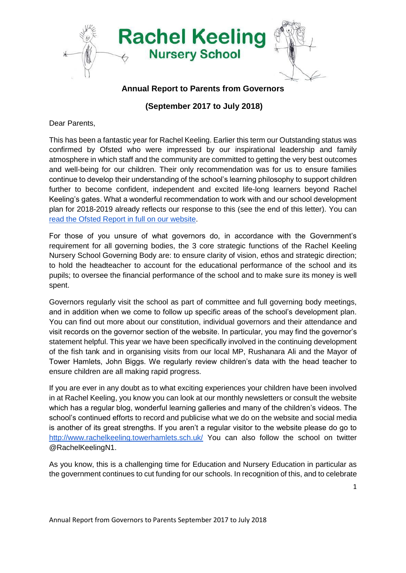

## **Annual Report to Parents from Governors**

**(September 2017 to July 2018)**

Dear Parents,

This has been a fantastic year for Rachel Keeling. Earlier this term our Outstanding status was confirmed by Ofsted who were impressed by our inspirational leadership and family atmosphere in which staff and the community are committed to getting the very best outcomes and well-being for our children. Their only recommendation was for us to ensure families continue to develop their understanding of the school's learning philosophy to support children further to become confident, independent and excited life-long learners beyond Rachel Keeling's gates. What a wonderful recommendation to work with and our school development plan for 2018-2019 already reflects our response to this (see the end of this letter). You can [read the Ofsted Report in full on our website.](http://www.rachelkeeling.towerhamlets.sch.uk/ofsted.html)

For those of you unsure of what governors do, in accordance with the Government's requirement for all governing bodies, the 3 core strategic functions of the Rachel Keeling Nursery School Governing Body are: to ensure clarity of vision, ethos and strategic direction; to hold the headteacher to account for the educational performance of the school and its pupils; to oversee the financial performance of the school and to make sure its money is well spent.

Governors regularly visit the school as part of committee and full governing body meetings, and in addition when we come to follow up specific areas of the school's development plan. You can find out more about our constitution, individual governors and their attendance and visit records on the governor section of the website. In particular, you may find the governor's statement helpful. This year we have been specifically involved in the continuing development of the fish tank and in organising visits from our local MP, Rushanara Ali and the Mayor of Tower Hamlets, John Biggs. We regularly review children's data with the head teacher to ensure children are all making rapid progress.

If you are ever in any doubt as to what exciting experiences your children have been involved in at Rachel Keeling, you know you can look at our monthly newsletters or consult the website which has a regular blog, wonderful learning galleries and many of the children's videos. The school's continued efforts to record and publicise what we do on the website and social media is another of its great strengths. If you aren't a regular visitor to the website please do go to <http://www.rachelkeeling.towerhamlets.sch.uk/> You can also follow the school on twitter @RachelKeelingN1.

As you know, this is a challenging time for Education and Nursery Education in particular as the government continues to cut funding for our schools. In recognition of this, and to celebrate